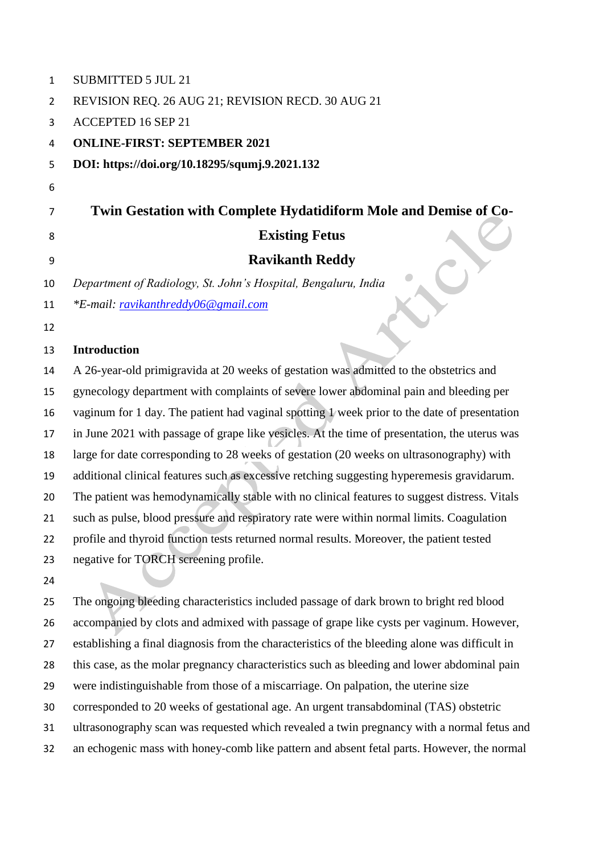| 1              | <b>SUBMITTED 5 JUL 21</b>                                                                      |
|----------------|------------------------------------------------------------------------------------------------|
| $\overline{2}$ | REVISION REQ. 26 AUG 21; REVISION RECD. 30 AUG 21                                              |
| 3              | <b>ACCEPTED 16 SEP 21</b>                                                                      |
| 4              | <b>ONLINE-FIRST: SEPTEMBER 2021</b>                                                            |
| 5              | DOI: https://doi.org/10.18295/squmj.9.2021.132                                                 |
| 6              |                                                                                                |
| 7              | Twin Gestation with Complete Hydatidiform Mole and Demise of Co-                               |
| 8              | <b>Existing Fetus</b>                                                                          |
| 9              | <b>Ravikanth Reddy</b>                                                                         |
| 10             | Department of Radiology, St. John's Hospital, Bengaluru, India                                 |
| 11             | *E-mail: ravikanthreddy06@gmail.com                                                            |
| 12             |                                                                                                |
| 13             | <b>Introduction</b>                                                                            |
| 14             | A 26-year-old primigravida at 20 weeks of gestation was admitted to the obstetrics and         |
| 15             | gynecology department with complaints of severe lower abdominal pain and bleeding per          |
| 16             | vaginum for 1 day. The patient had vaginal spotting 1 week prior to the date of presentation   |
| 17             | in June 2021 with passage of grape like vesicles. At the time of presentation, the uterus was  |
| 18             | large for date corresponding to 28 weeks of gestation (20 weeks on ultrasonography) with       |
| 19             | additional clinical features such as excessive retching suggesting hyperemesis gravidarum.     |
| 20             | The patient was hemodynamically stable with no clinical features to suggest distress. Vitals   |
| 21             | such as pulse, blood pressure and respiratory rate were within normal limits. Coagulation      |
| 22             | profile and thyroid function tests returned normal results. Moreover, the patient tested       |
| 23             | negative for TORCH screening profile.                                                          |
| 24             |                                                                                                |
| 25             | The ongoing bleeding characteristics included passage of dark brown to bright red blood        |
| 26             | accompanied by clots and admixed with passage of grape like cysts per vaginum. However,        |
| 27             | establishing a final diagnosis from the characteristics of the bleeding alone was difficult in |
| 28             | this case, as the molar pregnancy characteristics such as bleeding and lower abdominal pain    |
| 29             | were indistinguishable from those of a miscarriage. On palpation, the uterine size             |
| 30             | corresponded to 20 weeks of gestational age. An urgent transabdominal (TAS) obstetric          |
| 31             | ultrasonography scan was requested which revealed a twin pregnancy with a normal fetus and     |

an echogenic mass with honey-comb like pattern and absent fetal parts. However, the normal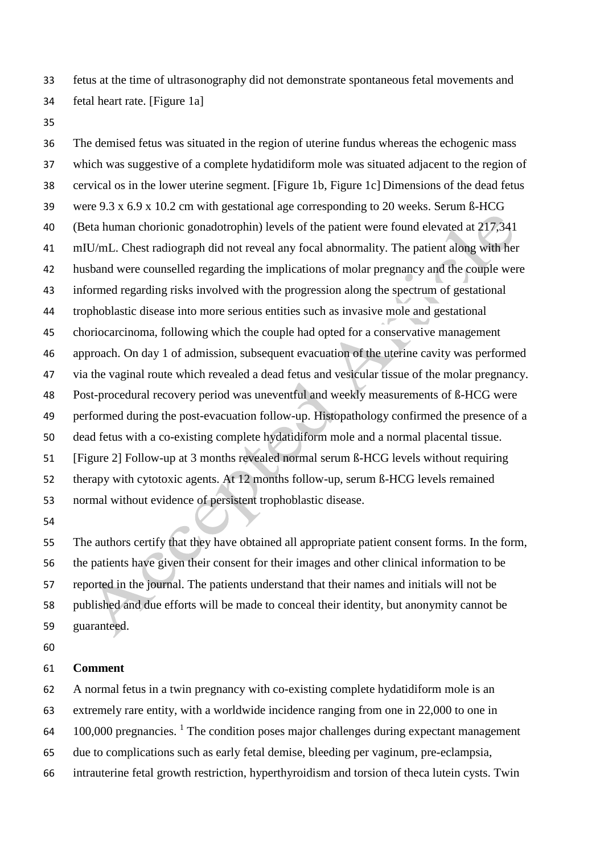fetus at the time of ultrasonography did not demonstrate spontaneous fetal movements and fetal heart rate. [Figure 1a]

 The demised fetus was situated in the region of uterine fundus whereas the echogenic mass which was suggestive of a complete hydatidiform mole was situated adjacent to the region of cervical os in the lower uterine segment. [Figure 1b, Figure 1c] Dimensions of the dead fetus were 9.3 x 6.9 x 10.2 cm with gestational age corresponding to 20 weeks. Serum ß-HCG (Beta human chorionic gonadotrophin) levels of the patient were found elevated at 217,341 mIU/mL. Chest radiograph did not reveal any focal abnormality. The patient along with her husband were counselled regarding the implications of molar pregnancy and the couple were informed regarding risks involved with the progression along the spectrum of gestational trophoblastic disease into more serious entities such as invasive mole and gestational choriocarcinoma, following which the couple had opted for a conservative management approach. On day 1 of admission, subsequent evacuation of the uterine cavity was performed via the vaginal route which revealed a dead fetus and vesicular tissue of the molar pregnancy. Post-procedural recovery period was uneventful and weekly measurements of ß-HCG were performed during the post-evacuation follow-up. Histopathology confirmed the presence of a dead fetus with a co-existing complete hydatidiform mole and a normal placental tissue. [Figure 2] Follow-up at 3 months revealed normal serum ß-HCG levels without requiring therapy with cytotoxic agents. At 12 months follow-up, serum ß-HCG levels remained normal without evidence of persistent trophoblastic disease.

 The authors certify that they have obtained all appropriate patient consent forms. In the form, the patients have given their consent for their images and other clinical information to be reported in the journal. The patients understand that their names and initials will not be published and due efforts will be made to conceal their identity, but anonymity cannot be guaranteed.

## **Comment**

 A normal fetus in a twin pregnancy with co-existing complete hydatidiform mole is an extremely rare entity, with a worldwide incidence ranging from one in 22,000 to one in 64 100,000 pregnancies. <sup>1</sup> The condition poses major challenges during expectant management due to complications such as early fetal demise, bleeding per vaginum, pre-eclampsia, intrauterine fetal growth restriction, hyperthyroidism and torsion of theca lutein cysts. Twin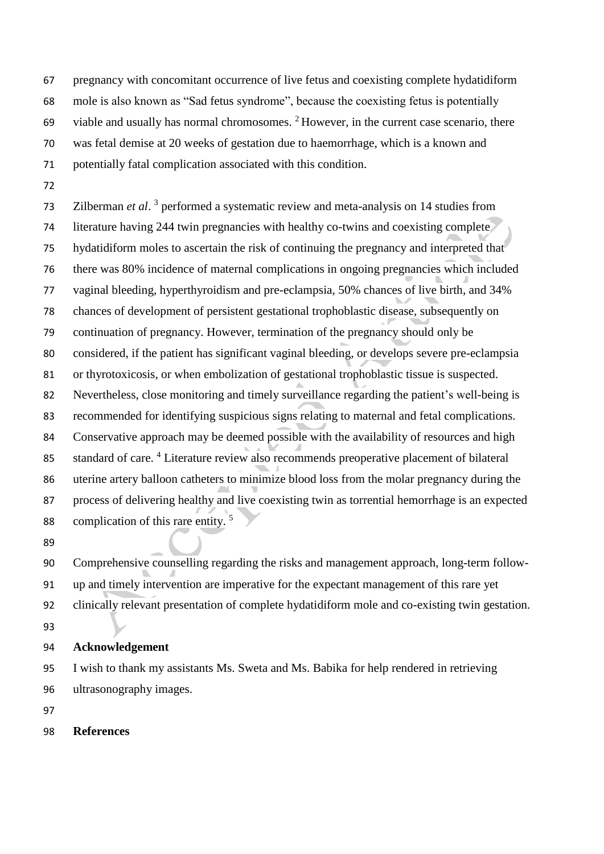pregnancy with concomitant occurrence of live fetus and coexisting complete hydatidiform mole is also known as "Sad fetus syndrome", because the coexisting fetus is potentially 69 viable and usually has normal chromosomes.  $2^2$  However, in the current case scenario, there was fetal demise at 20 weeks of gestation due to haemorrhage, which is a known and potentially fatal complication associated with this condition.

73 Zilberman *et al.*<sup>3</sup> performed a systematic review and meta-analysis on 14 studies from literature having 244 twin pregnancies with healthy co-twins and coexisting complete hydatidiform moles to ascertain the risk of continuing the pregnancy and interpreted that there was 80% incidence of maternal complications in ongoing pregnancies which included vaginal bleeding, hyperthyroidism and pre-eclampsia, 50% chances of live birth, and 34% chances of development of persistent gestational trophoblastic disease, subsequently on continuation of pregnancy. However, termination of the pregnancy should only be considered, if the patient has significant vaginal bleeding, or develops severe pre-eclampsia or thyrotoxicosis, or when embolization of gestational trophoblastic tissue is suspected. Nevertheless, close monitoring and timely surveillance regarding the patient's well-being is recommended for identifying suspicious signs relating to maternal and fetal complications. Conservative approach may be deemed possible with the availability of resources and high 85 standard of care. <sup>4</sup> Literature review also recommends preoperative placement of bilateral uterine artery balloon catheters to minimize blood loss from the molar pregnancy during the process of delivering healthy and live coexisting twin as torrential hemorrhage is an expected complication of this rare entity. <sup>5</sup> 

 Comprehensive counselling regarding the risks and management approach, long-term follow- up and timely intervention are imperative for the expectant management of this rare yet clinically relevant presentation of complete hydatidiform mole and co-existing twin gestation. 

**Acknowledgement**

 I wish to thank my assistants Ms. Sweta and Ms. Babika for help rendered in retrieving ultrasonography images.

- 
- **References**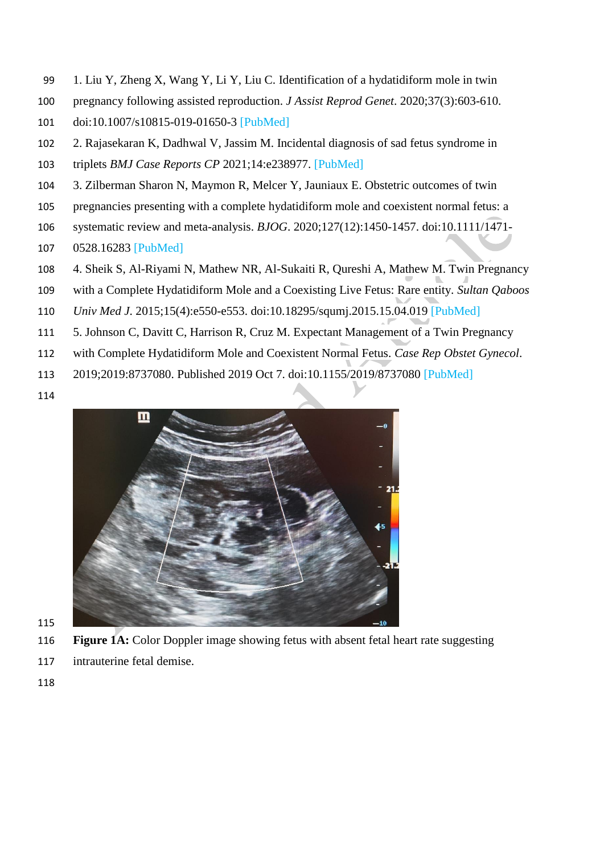- 1. Liu Y, Zheng X, Wang Y, Li Y, Liu C. Identification of a hydatidiform mole in twin
- pregnancy following assisted reproduction. *J Assist Reprod Genet*. 2020;37(3):603-610.
- doi:10.1007/s10815-019-01650-3 [PubMed]
- 2. Rajasekaran K, Dadhwal V, Jassim M. Incidental diagnosis of sad fetus syndrome in
- triplets *BMJ Case Reports CP* 2021;14:e238977. [PubMed]
- 3. Zilberman Sharon N, Maymon R, Melcer Y, Jauniaux E. Obstetric outcomes of twin
- pregnancies presenting with a complete hydatidiform mole and coexistent normal fetus: a
- systematic review and meta-analysis. *BJOG*. 2020;127(12):1450-1457. doi:10.1111/1471-
- 0528.16283 [PubMed]
- 4. Sheik S, Al-Riyami N, Mathew NR, Al-Sukaiti R, Qureshi A, Mathew M. Twin Pregnancy
- with a Complete Hydatidiform Mole and a Coexisting Live Fetus: Rare entity. *Sultan Qaboos*
- *Univ Med J*. 2015;15(4):e550-e553. doi:10.18295/squmj.2015.15.04.019 [PubMed]
- 5. Johnson C, Davitt C, Harrison R, Cruz M. Expectant Management of a Twin Pregnancy
- with Complete Hydatidiform Mole and Coexistent Normal Fetus. *Case Rep Obstet Gynecol*.
- 2019;2019:8737080. Published 2019 Oct 7. doi:10.1155/2019/8737080 [PubMed]
- 



- 
- **Figure 1A:** Color Doppler image showing fetus with absent fetal heart rate suggesting
- intrauterine fetal demise.
-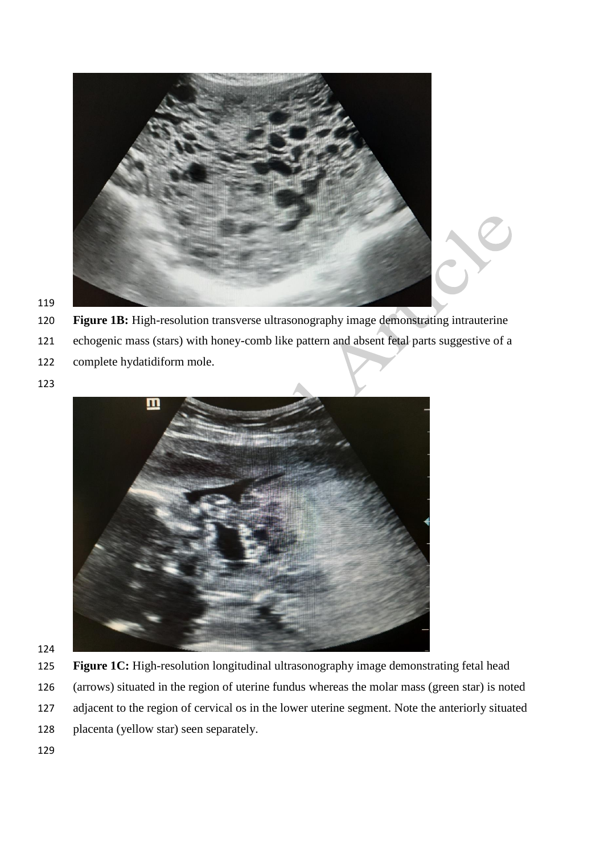

- **Figure 1B:** High-resolution transverse ultrasonography image demonstrating intrauterine
- echogenic mass (stars) with honey-comb like pattern and absent fetal parts suggestive of a
- complete hydatidiform mole.
- 



- **Figure 1C:** High-resolution longitudinal ultrasonography image demonstrating fetal head
- (arrows) situated in the region of uterine fundus whereas the molar mass (green star) is noted
- adjacent to the region of cervical os in the lower uterine segment. Note the anteriorly situated
- placenta (yellow star) seen separately.
-